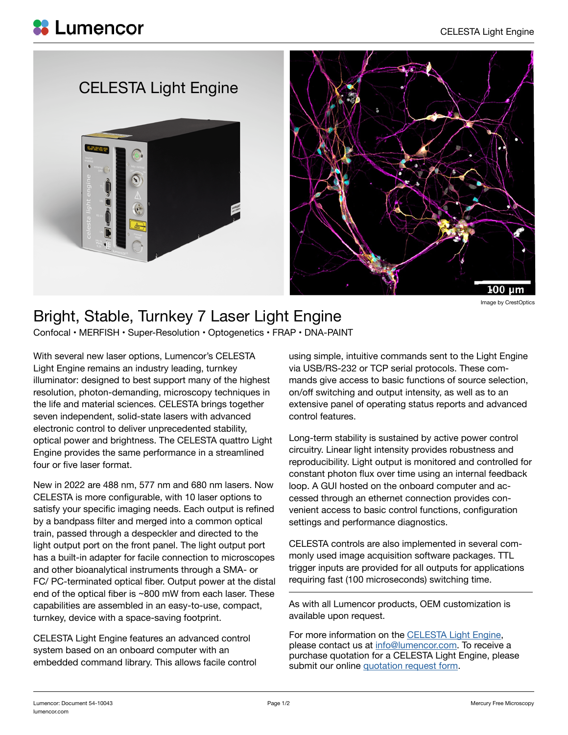## CELESTA Light Engine





Image by CrestOptics

## Bright, Stable, Turnkey 7 Laser Light Engine

Confocal • MERFISH • Super-Resolution • Optogenetics • FRAP • DNA-PAINT

With several new laser options, Lumencor's CELESTA Light Engine remains an industry leading, turnkey illuminator: designed to best support many of the highest resolution, photon-demanding, microscopy techniques in the life and material sciences. CELESTA brings together seven independent, solid-state lasers with advanced electronic control to deliver unprecedented stability, optical power and brightness. The CELESTA quattro Light Engine provides the same performance in a streamlined four or five laser format.

New in 2022 are 488 nm, 577 nm and 680 nm lasers. Now CELESTA is more configurable, with 10 laser options to satisfy your specific imaging needs. Each output is refined by a bandpass filter and merged into a common optical train, passed through a despeckler and directed to the light output port on the front panel. The light output port has a built-in adapter for facile connection to microscopes and other bioanalytical instruments through a SMA- or FC/ PC-terminated optical fiber. Output power at the distal end of the optical fiber is ~800 mW from each laser. These capabilities are assembled in an easy-to-use, compact, turnkey, device with a space-saving footprint.

CELESTA Light Engine features an advanced control system based on an onboard computer with an embedded command library. This allows facile control using simple, intuitive commands sent to the Light Engine via USB/RS-232 or TCP serial protocols. These commands give access to basic functions of source selection, on/off switching and output intensity, as well as to an extensive panel of operating status reports and advanced control features.

Long-term stability is sustained by active power control circuitry. Linear light intensity provides robustness and reproducibility. Light output is monitored and controlled for constant photon flux over time using an internal feedback loop. A GUI hosted on the onboard computer and accessed through an ethernet connection provides convenient access to basic control functions, configuration settings and performance diagnostics.

CELESTA controls are also implemented in several commonly used image acquisition software packages. TTL trigger inputs are provided for all outputs for applications requiring fast (100 microseconds) switching time.

As with all Lumencor products, OEM customization is available upon request.

For more information on the [CELESTA Light Engine](https://lumencor.com/products/celesta-light-engine), please contact us at [info@lumencor.com.](mailto:info%40lumencor.com?subject=CELESTA%20Light%20Engine) To receive a purchase quotation for a CELESTA Light Engine, please submit our online [quotation request form.](https://lumencor.com/customer-center/request-a-quote)